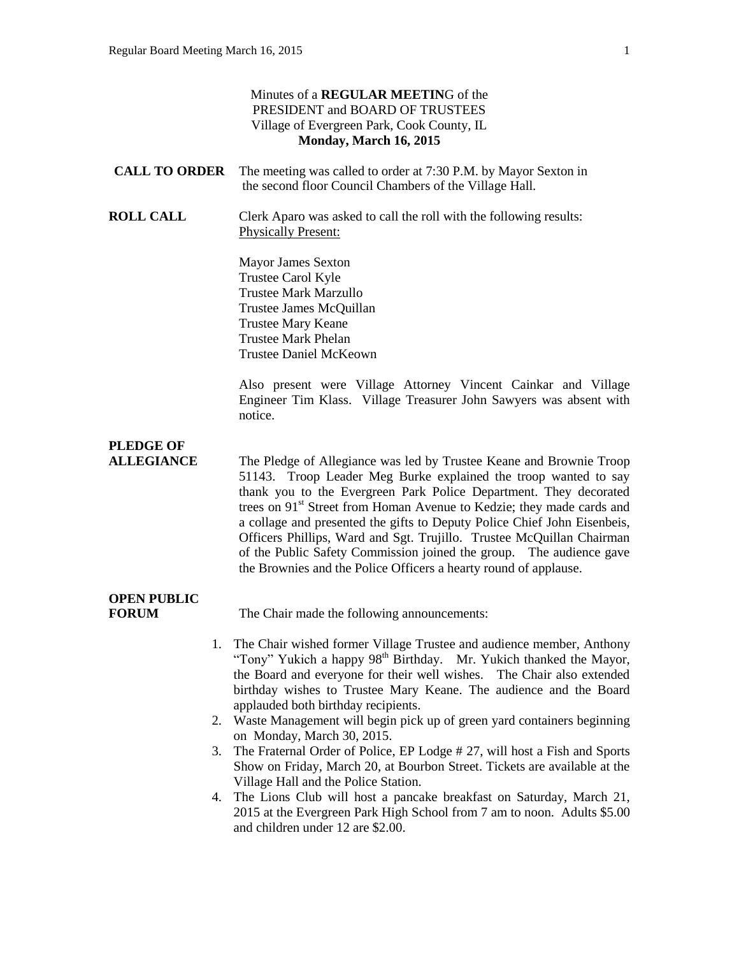|                                    |    | Minutes of a REGULAR MEETING of the<br>PRESIDENT and BOARD OF TRUSTEES<br>Village of Evergreen Park, Cook County, IL<br>Monday, March 16, 2015                                                                                                                                                                                                                                                                                                                                                                                                                                                   |
|------------------------------------|----|--------------------------------------------------------------------------------------------------------------------------------------------------------------------------------------------------------------------------------------------------------------------------------------------------------------------------------------------------------------------------------------------------------------------------------------------------------------------------------------------------------------------------------------------------------------------------------------------------|
| <b>CALL TO ORDER</b>               |    | The meeting was called to order at 7:30 P.M. by Mayor Sexton in<br>the second floor Council Chambers of the Village Hall.                                                                                                                                                                                                                                                                                                                                                                                                                                                                        |
| <b>ROLL CALL</b>                   |    | Clerk Aparo was asked to call the roll with the following results:<br><b>Physically Present:</b>                                                                                                                                                                                                                                                                                                                                                                                                                                                                                                 |
|                                    |    | <b>Mayor James Sexton</b><br>Trustee Carol Kyle<br><b>Trustee Mark Marzullo</b><br>Trustee James McQuillan<br>Trustee Mary Keane<br><b>Trustee Mark Phelan</b><br><b>Trustee Daniel McKeown</b>                                                                                                                                                                                                                                                                                                                                                                                                  |
|                                    |    | Also present were Village Attorney Vincent Cainkar and Village<br>Engineer Tim Klass. Village Treasurer John Sawyers was absent with<br>notice.                                                                                                                                                                                                                                                                                                                                                                                                                                                  |
| <b>PLEDGE OF</b>                   |    |                                                                                                                                                                                                                                                                                                                                                                                                                                                                                                                                                                                                  |
| <b>ALLEGIANCE</b>                  |    | The Pledge of Allegiance was led by Trustee Keane and Brownie Troop<br>51143. Troop Leader Meg Burke explained the troop wanted to say<br>thank you to the Evergreen Park Police Department. They decorated<br>trees on 91 <sup>st</sup> Street from Homan Avenue to Kedzie; they made cards and<br>a collage and presented the gifts to Deputy Police Chief John Eisenbeis,<br>Officers Phillips, Ward and Sgt. Trujillo. Trustee McQuillan Chairman<br>of the Public Safety Commission joined the group. The audience gave<br>the Brownies and the Police Officers a hearty round of applause. |
| <b>OPEN PUBLIC</b><br><b>FORUM</b> |    | The Chair made the following announcements:                                                                                                                                                                                                                                                                                                                                                                                                                                                                                                                                                      |
|                                    | 1. | The Chair wished former Village Trustee and audience member, Anthony<br>"Tony" Yukich a happy 98 <sup>th</sup> Birthday.<br>Mr. Yukich thanked the Mayor,                                                                                                                                                                                                                                                                                                                                                                                                                                        |

- the Board and everyone for their well wishes. The Chair also extended birthday wishes to Trustee Mary Keane. The audience and the Board applauded both birthday recipients. 2. Waste Management will begin pick up of green yard containers beginning
- on Monday, March 30, 2015.
- 3. The Fraternal Order of Police, EP Lodge # 27, will host a Fish and Sports Show on Friday, March 20, at Bourbon Street. Tickets are available at the Village Hall and the Police Station.
- 4. The Lions Club will host a pancake breakfast on Saturday, March 21, 2015 at the Evergreen Park High School from 7 am to noon. Adults \$5.00 and children under 12 are \$2.00.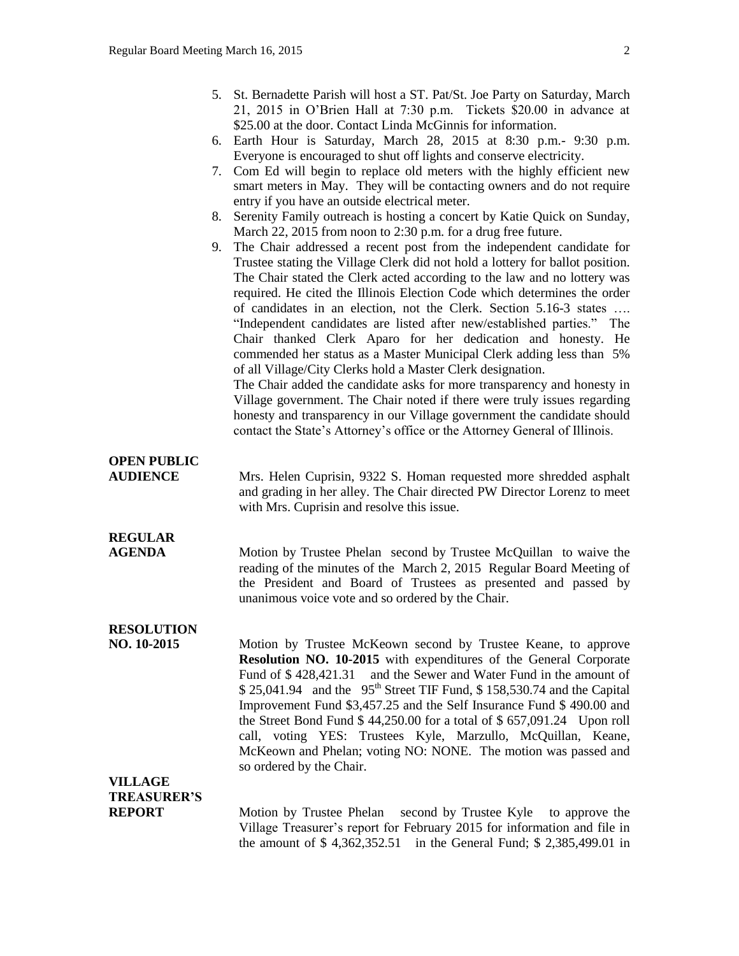|                                       |    | 5. St. Bernadette Parish will host a ST. Pat/St. Joe Party on Saturday, March<br>21, 2015 in O'Brien Hall at 7:30 p.m. Tickets \$20.00 in advance at                                                                                                                                                                                                                      |
|---------------------------------------|----|---------------------------------------------------------------------------------------------------------------------------------------------------------------------------------------------------------------------------------------------------------------------------------------------------------------------------------------------------------------------------|
|                                       |    | \$25.00 at the door. Contact Linda McGinnis for information.<br>6. Earth Hour is Saturday, March 28, 2015 at 8:30 p.m. - 9:30 p.m.<br>Everyone is encouraged to shut off lights and conserve electricity.                                                                                                                                                                 |
|                                       |    | 7. Com Ed will begin to replace old meters with the highly efficient new<br>smart meters in May. They will be contacting owners and do not require                                                                                                                                                                                                                        |
|                                       | 8. | entry if you have an outside electrical meter.<br>Serenity Family outreach is hosting a concert by Katie Quick on Sunday,<br>March 22, 2015 from noon to 2:30 p.m. for a drug free future.                                                                                                                                                                                |
|                                       | 9. | The Chair addressed a recent post from the independent candidate for<br>Trustee stating the Village Clerk did not hold a lottery for ballot position.                                                                                                                                                                                                                     |
|                                       |    | The Chair stated the Clerk acted according to the law and no lottery was<br>required. He cited the Illinois Election Code which determines the order<br>of candidates in an election, not the Clerk. Section 5.16-3 states                                                                                                                                                |
|                                       |    | "Independent candidates are listed after new/established parties." The<br>Chair thanked Clerk Aparo for her dedication and honesty. He<br>commended her status as a Master Municipal Clerk adding less than 5%                                                                                                                                                            |
|                                       |    | of all Village/City Clerks hold a Master Clerk designation.<br>The Chair added the candidate asks for more transparency and honesty in                                                                                                                                                                                                                                    |
|                                       |    | Village government. The Chair noted if there were truly issues regarding<br>honesty and transparency in our Village government the candidate should<br>contact the State's Attorney's office or the Attorney General of Illinois.                                                                                                                                         |
| <b>OPEN PUBLIC</b><br><b>AUDIENCE</b> |    | Mrs. Helen Cuprisin, 9322 S. Homan requested more shredded asphalt                                                                                                                                                                                                                                                                                                        |
|                                       |    | and grading in her alley. The Chair directed PW Director Lorenz to meet<br>with Mrs. Cuprisin and resolve this issue.                                                                                                                                                                                                                                                     |
| <b>REGULAR</b>                        |    |                                                                                                                                                                                                                                                                                                                                                                           |
| <b>AGENDA</b>                         |    | Motion by Trustee Phelan second by Trustee McQuillan to waive the<br>reading of the minutes of the March 2, 2015 Regular Board Meeting of<br>the President and Board of Trustees as presented and passed by<br>unanimous voice vote and so ordered by the Chair.                                                                                                          |
| <b>RESOLUTION</b>                     |    |                                                                                                                                                                                                                                                                                                                                                                           |
| NO. 10-2015                           |    | Motion by Trustee McKeown second by Trustee Keane, to approve<br>Resolution NO. 10-2015 with expenditures of the General Corporate<br>and the Sewer and Water Fund in the amount of<br>Fund of \$428,421.31<br>\$25,041.94 and the 95 <sup>th</sup> Street TIF Fund, \$158,530.74 and the Capital<br>Improvement Fund \$3,457.25 and the Self Insurance Fund \$490.00 and |
|                                       |    | the Street Bond Fund $$44,250.00$ for a total of $$657,091.24$ Upon roll                                                                                                                                                                                                                                                                                                  |

call, voting YES: Trustees Kyle, Marzullo, McQuillan, Keane, McKeown and Phelan; voting NO: NONE. The motion was passed and

Motion by Trustee Phelan second by Trustee Kyle to approve the Village Treasurer's report for February 2015 for information and file in the amount of \$ 4,362,352.51 in the General Fund; \$ 2,385,499.01 in

so ordered by the Chair.

**VILLAGE**

**TREASURER'S**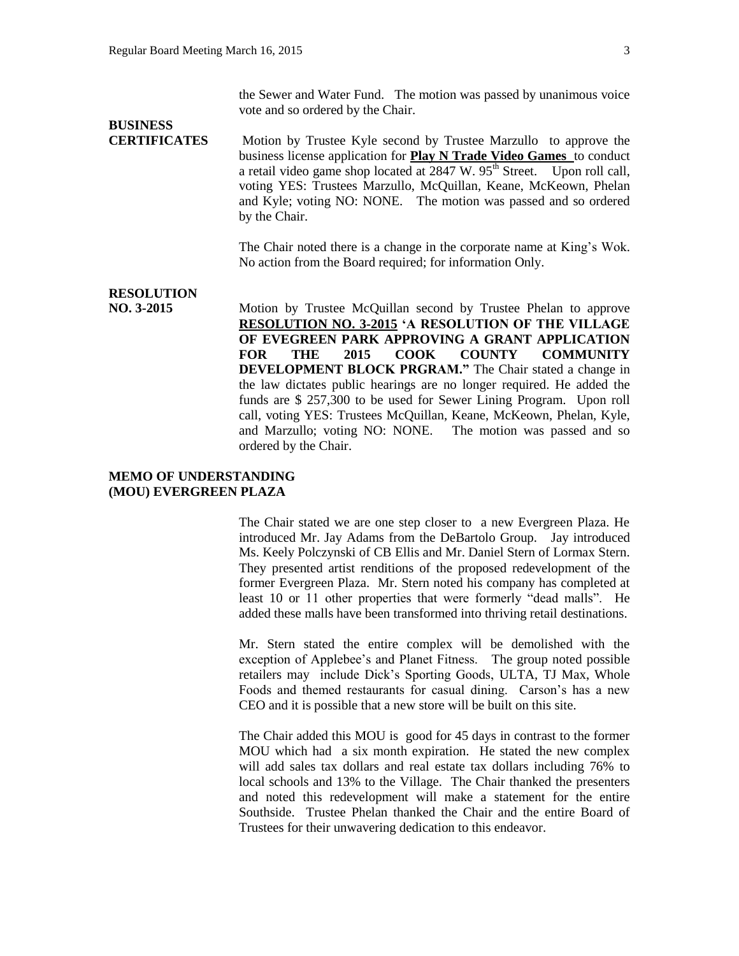the Sewer and Water Fund. The motion was passed by unanimous voice vote and so ordered by the Chair.

# **BUSINESS**

**CERTIFICATES** Motion by Trustee Kyle second by Trustee Marzullo to approve the business license application for **Play N Trade Video Games** to conduct a retail video game shop located at  $2847 \text{ W}$ .  $95^{\text{th}}$  Street. Upon roll call, voting YES: Trustees Marzullo, McQuillan, Keane, McKeown, Phelan and Kyle; voting NO: NONE. The motion was passed and so ordered by the Chair.

> The Chair noted there is a change in the corporate name at King's Wok. No action from the Board required; for information Only.

### **RESOLUTION**

**NO. 3-2015** Motion by Trustee McQuillan second by Trustee Phelan to approve **RESOLUTION NO. 3-2015 'A RESOLUTION OF THE VILLAGE OF EVEGREEN PARK APPROVING A GRANT APPLICATION FOR THE 2015 COOK COUNTY COMMUNITY DEVELOPMENT BLOCK PRGRAM."** The Chair stated a change in the law dictates public hearings are no longer required. He added the funds are \$ 257,300 to be used for Sewer Lining Program. Upon roll call, voting YES: Trustees McQuillan, Keane, McKeown, Phelan, Kyle, and Marzullo; voting NO: NONE. The motion was passed and so ordered by the Chair.

# **MEMO OF UNDERSTANDING (MOU) EVERGREEN PLAZA**

The Chair stated we are one step closer to a new Evergreen Plaza. He introduced Mr. Jay Adams from the DeBartolo Group. Jay introduced Ms. Keely Polczynski of CB Ellis and Mr. Daniel Stern of Lormax Stern. They presented artist renditions of the proposed redevelopment of the former Evergreen Plaza. Mr. Stern noted his company has completed at least 10 or 11 other properties that were formerly "dead malls". He added these malls have been transformed into thriving retail destinations.

Mr. Stern stated the entire complex will be demolished with the exception of Applebee's and Planet Fitness. The group noted possible retailers may include Dick's Sporting Goods, ULTA, TJ Max, Whole Foods and themed restaurants for casual dining. Carson's has a new CEO and it is possible that a new store will be built on this site.

The Chair added this MOU is good for 45 days in contrast to the former MOU which had a six month expiration. He stated the new complex will add sales tax dollars and real estate tax dollars including 76% to local schools and 13% to the Village. The Chair thanked the presenters and noted this redevelopment will make a statement for the entire Southside. Trustee Phelan thanked the Chair and the entire Board of Trustees for their unwavering dedication to this endeavor.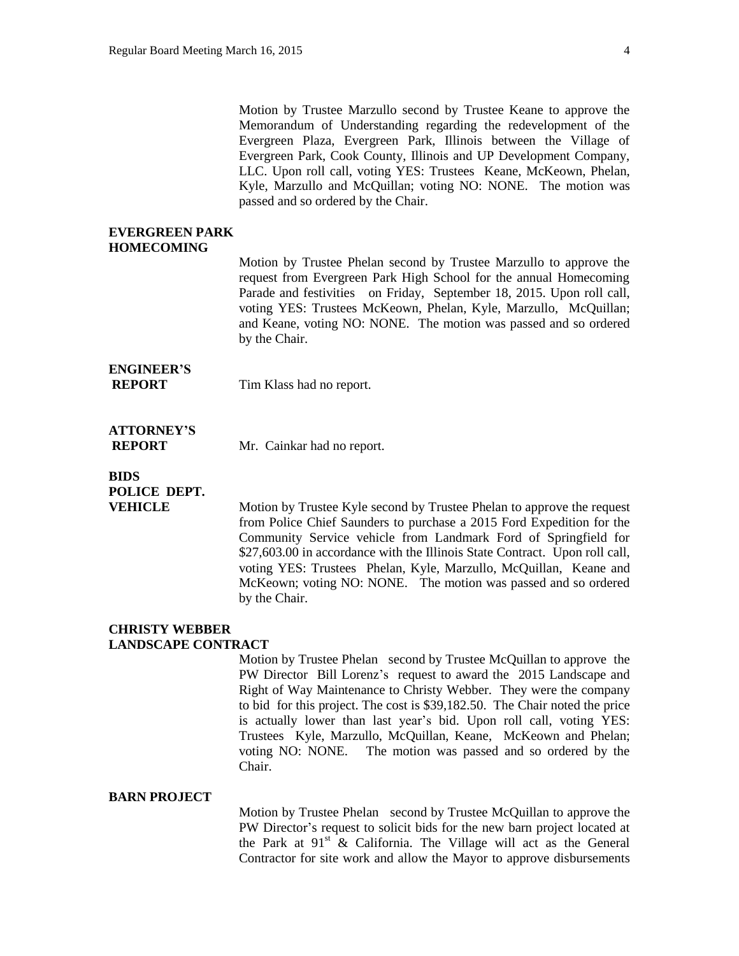Motion by Trustee Marzullo second by Trustee Keane to approve the Memorandum of Understanding regarding the redevelopment of the Evergreen Plaza, Evergreen Park, Illinois between the Village of Evergreen Park, Cook County, Illinois and UP Development Company, LLC. Upon roll call, voting YES: Trustees Keane, McKeown, Phelan, Kyle, Marzullo and McQuillan; voting NO: NONE. The motion was passed and so ordered by the Chair.

#### **EVERGREEN PARK HOMECOMING**

Motion by Trustee Phelan second by Trustee Marzullo to approve the request from Evergreen Park High School for the annual Homecoming Parade and festivities on Friday, September 18, 2015. Upon roll call, voting YES: Trustees McKeown, Phelan, Kyle, Marzullo, McQuillan; and Keane, voting NO: NONE. The motion was passed and so ordered by the Chair.

# **ENGINEER'S**

**REPORT** Tim Klass had no report.

# **ATTORNEY'S**

**REPORT** Mr. Cainkar had no report.

# **BIDS POLICE DEPT.**

**VEHICLE** Motion by Trustee Kyle second by Trustee Phelan to approve the request from Police Chief Saunders to purchase a 2015 Ford Expedition for the Community Service vehicle from Landmark Ford of Springfield for \$27,603.00 in accordance with the Illinois State Contract. Upon roll call, voting YES: Trustees Phelan, Kyle, Marzullo, McQuillan, Keane and McKeown; voting NO: NONE. The motion was passed and so ordered by the Chair.

#### **CHRISTY WEBBER LANDSCAPE CONTRACT**

# Motion by Trustee Phelan second by Trustee McQuillan to approve the PW Director Bill Lorenz's request to award the 2015 Landscape and Right of Way Maintenance to Christy Webber. They were the company to bid for this project. The cost is \$39,182.50. The Chair noted the price is actually lower than last year's bid. Upon roll call, voting YES: Trustees Kyle, Marzullo, McQuillan, Keane, McKeown and Phelan; voting NO: NONE. The motion was passed and so ordered by the Chair.

# **BARN PROJECT**

Motion by Trustee Phelan second by Trustee McQuillan to approve the PW Director's request to solicit bids for the new barn project located at the Park at  $91^{st}$  & California. The Village will act as the General Contractor for site work and allow the Mayor to approve disbursements